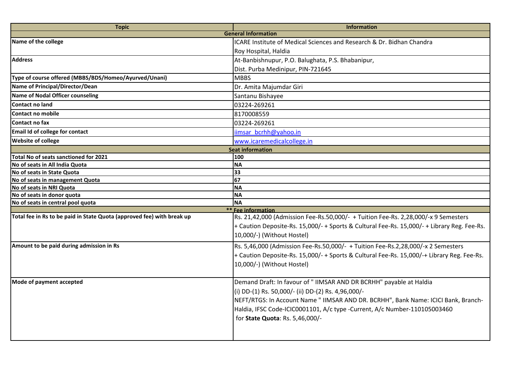| <b>Topic</b>                                                           | <b>Information</b>                                                                          |
|------------------------------------------------------------------------|---------------------------------------------------------------------------------------------|
| <b>General Information</b>                                             |                                                                                             |
| Name of the college                                                    | ICARE Institute of Medical Sciences and Research & Dr. Bidhan Chandra                       |
|                                                                        | Roy Hospital, Haldia                                                                        |
| <b>Address</b>                                                         | At-Banbishnupur, P.O. Balughata, P.S. Bhabanipur,                                           |
|                                                                        | Dist. Purba Medinipur, PIN-721645                                                           |
| Type of course offered (MBBS/BDS/Homeo/Ayurved/Unani)                  | <b>MBBS</b>                                                                                 |
| Name of Principal/Director/Dean                                        | Dr. Amita Majumdar Giri                                                                     |
| Name of Nodal Officer counseling                                       | Santanu Bishayee                                                                            |
| <b>Contact no land</b>                                                 | 03224-269261                                                                                |
| <b>Contact no mobile</b>                                               | 8170008559                                                                                  |
| Contact no fax                                                         | 03224-269261                                                                                |
| Email Id of college for contact                                        | iimsar bcrhh@yahoo.in                                                                       |
| <b>Website of college</b>                                              | www.icaremedicalcollege.in                                                                  |
| <b>Seat information</b>                                                |                                                                                             |
| Total No of seats sanctioned for 2021                                  | 100                                                                                         |
| No of seats in All India Quota                                         | <b>NA</b>                                                                                   |
| No of seats in State Quota                                             | 33                                                                                          |
| No of seats in management Quota                                        | 67                                                                                          |
| No of seats in NRI Quota                                               | <b>NA</b>                                                                                   |
| No of seats in donor quota                                             | <b>NA</b>                                                                                   |
| No of seats in central pool quota                                      | <b>NA</b>                                                                                   |
| ** Fee information                                                     |                                                                                             |
| Total fee in Rs to be paid in State Quota (approved fee) with break up | Rs. 21,42,000 (Admission Fee-Rs.50,000/- + Tuition Fee-Rs. 2,28,000/-x 9 Semesters          |
|                                                                        | + Caution Deposite-Rs. 15,000/- + Sports & Cultural Fee-Rs. 15,000/- + Library Reg. Fee-Rs. |
|                                                                        | 10,000/-) (Without Hostel)                                                                  |
| Amount to be paid during admission in Rs                               | Rs. 5,46,000 (Admission Fee-Rs.50,000/- + Tuition Fee-Rs.2,28,000/-x 2 Semesters            |
|                                                                        | + Caution Deposite-Rs. 15,000/- + Sports & Cultural Fee-Rs. 15,000/-+ Library Reg. Fee-Rs.  |
|                                                                        | 10,000/-) (Without Hostel)                                                                  |
|                                                                        |                                                                                             |
| Mode of payment accepted                                               | Demand Draft: In favour of " IIMSAR AND DR BCRHH" payable at Haldia                         |
|                                                                        | (i) DD-(1) Rs. 50,000/- (ii) DD-(2) Rs. 4,96,000/-                                          |
|                                                                        |                                                                                             |
|                                                                        | NEFT/RTGS: In Account Name " IIMSAR AND DR. BCRHH", Bank Name: ICICI Bank, Branch-          |
|                                                                        | Haldia, IFSC Code-ICIC0001101, A/c type -Current, A/c Number-110105003460                   |
|                                                                        | for State Quota: Rs. 5,46,000/-                                                             |
|                                                                        |                                                                                             |
|                                                                        |                                                                                             |